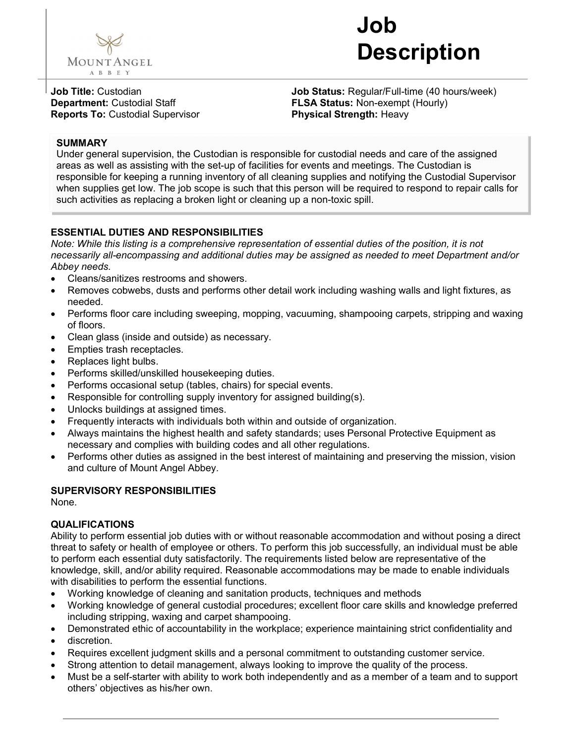

# Job Description

Job Title: Custodian Department: Custodial Staff Reports To: Custodial Supervisor Job Status: Regular/Full-time (40 hours/week) FLSA Status: Non-exempt (Hourly) Physical Strength: Heavy

**SUMMARY**<br>Under general supervision, the Custodian is responsible for custodial needs and care of the assigned areas as well as assisting with the set-up of facilities for events and meetings. The Custodian is responsible for keeping a running inventory of all cleaning supplies and notifying the Custodial Supervisor when supplies get low. The job scope is such that this person will be required to respond to repair calls for such activities as replacing a broken light or cleaning up a non-toxic spill.

# ESSENTIAL DUTIES AND RESPONSIBILITIES

Note: While this listing is a comprehensive representation of essential duties of the position, it is not necessarily all-encompassing and additional duties may be assigned as needed to meet Department and/or Abbey needs.

- Cleans/sanitizes restrooms and showers.
- Removes cobwebs, dusts and performs other detail work including washing walls and light fixtures, as needed.
- Performs floor care including sweeping, mopping, vacuuming, shampooing carpets, stripping and waxing of floors.
- Clean glass (inside and outside) as necessary.
- Empties trash receptacles.
- Replaces light bulbs.
- Performs skilled/unskilled housekeeping duties.
- Performs occasional setup (tables, chairs) for special events.
- Responsible for controlling supply inventory for assigned building(s).
- Unlocks buildings at assigned times.
- Frequently interacts with individuals both within and outside of organization.
- Always maintains the highest health and safety standards; uses Personal Protective Equipment as necessary and complies with building codes and all other regulations.
- Performs other duties as assigned in the best interest of maintaining and preserving the mission, vision and culture of Mount Angel Abbey.

### SUPERVISORY RESPONSIBILITIES

None.

# QUALIFICATIONS

Ability to perform essential job duties with or without reasonable accommodation and without posing a direct threat to safety or health of employee or others. To perform this job successfully, an individual must be able to perform each essential duty satisfactorily. The requirements listed below are representative of the knowledge, skill, and/or ability required. Reasonable accommodations may be made to enable individuals with disabilities to perform the essential functions.

- Working knowledge of cleaning and sanitation products, techniques and methods
- Working knowledge of general custodial procedures; excellent floor care skills and knowledge preferred including stripping, waxing and carpet shampooing.
- Demonstrated ethic of accountability in the workplace; experience maintaining strict confidentiality and
- discretion.
- Requires excellent judgment skills and a personal commitment to outstanding customer service.
- Strong attention to detail management, always looking to improve the quality of the process.
- Must be a self-starter with ability to work both independently and as a member of a team and to support others' objectives as his/her own.